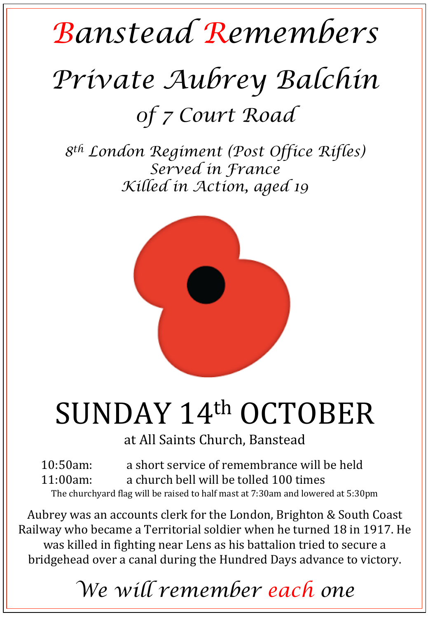## *Banstead Remembers Private Aubrey Balchin 0f 7 Court Road*

*8th London Regiment (Post Office Rifles) Served in France Killed in Action, aged 19* 



## SUNDAY 14th OCTOBER

at All Saints Church, Banstead

10:50am: a short service of remembrance will be held 11:00am: a church bell will be tolled 100 times The churchyard flag will be raised to half mast at 7:30am and lowered at 5:30pm

Aubrey was an accounts clerk for the London, Brighton & South Coast Railway who became a Territorial soldier when he turned 18 in 1917. He was killed in fighting near Lens as his battalion tried to secure a bridgehead over a canal during the Hundred Days advance to victory.

## *We will remember each one*